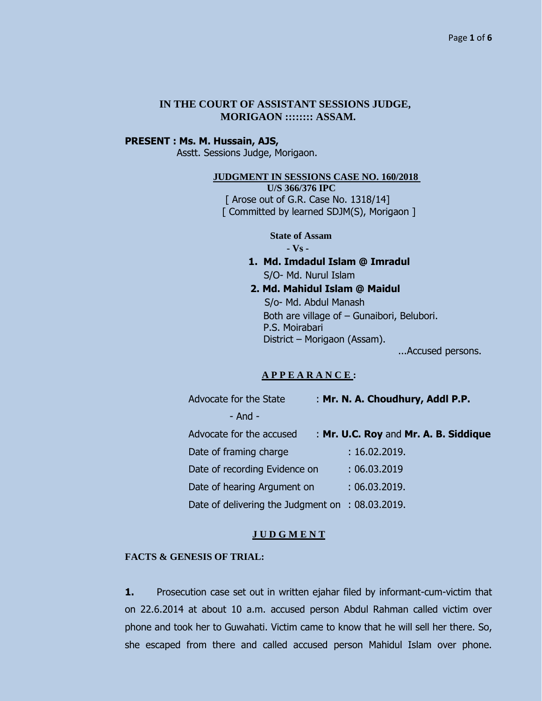## **IN THE COURT OF ASSISTANT SESSIONS JUDGE, MORIGAON :::::::: ASSAM.**

# **PRESENT : Ms. M. Hussain, AJS,**

Asstt. Sessions Judge, Morigaon.

### **JUDGMENT IN SESSIONS CASE NO. 160/2018**

 **U/S 366/376 IPC** [ Arose out of G.R. Case No. 1318/14] [ Committed by learned SDJM(S), Morigaon ]

> **State of Assam - Vs -**

- **1. Md. Imdadul Islam @ Imradul** S/O- Md. Nurul Islam
- **2. Md. Mahidul Islam @ Maidul** S/o- Md. Abdul Manash Both are village of – Gunaibori, Belubori. P.S. Moirabari District – Morigaon (Assam).

...Accused persons.

### **A P P E A R A N C E :**

| Advocate for the State                           | : Mr. N. A. Choudhury, Addl P.P.      |
|--------------------------------------------------|---------------------------------------|
| $-$ And $-$                                      |                                       |
| Advocate for the accused                         | : Mr. U.C. Roy and Mr. A. B. Siddique |
| Date of framing charge                           | : 16.02.2019.                         |
| Date of recording Evidence on                    | : 06.03.2019                          |
| Date of hearing Argument on                      | : 06.03.2019.                         |
| Date of delivering the Judgment on : 08.03.2019. |                                       |

#### **J U D G M E N T**

### **FACTS & GENESIS OF TRIAL:**

**1.** Prosecution case set out in written ejahar filed by informant-cum-victim that on 22.6.2014 at about 10 a.m. accused person Abdul Rahman called victim over phone and took her to Guwahati. Victim came to know that he will sell her there. So, she escaped from there and called accused person Mahidul Islam over phone.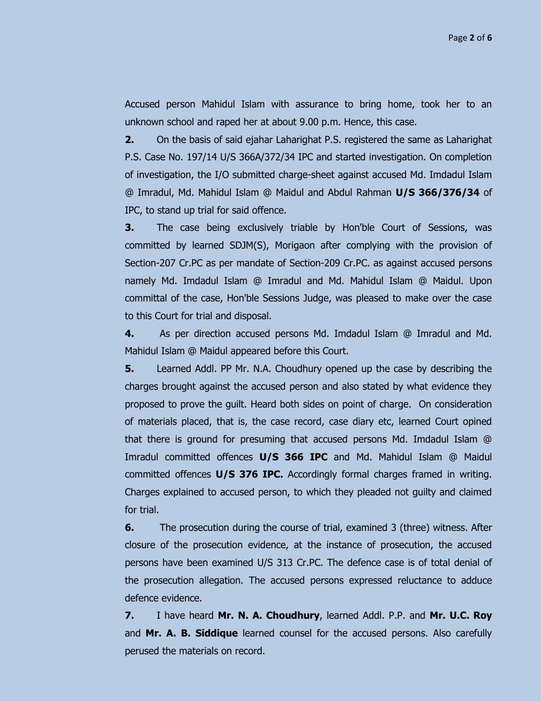Accused person Mahidul Islam with assurance to bring home, took her to an unknown school and raped her at about 9.00 p.m. Hence, this case.

**2.** On the basis of said ejahar Laharighat P.S. registered the same as Laharighat P.S. Case No. 197/14 U/S 366A/372/34 IPC and started investigation. On completion of investigation, the I/O submitted charge-sheet against accused Md. Imdadul Islam @ Imradul, Md. Mahidul Islam @ Maidul and Abdul Rahman **U/S 366/376/34** of IPC, to stand up trial for said offence.

**3.** The case being exclusively triable by Hon'ble Court of Sessions, was committed by learned SDJM(S), Morigaon after complying with the provision of Section-207 Cr.PC as per mandate of Section-209 Cr.PC. as against accused persons namely Md. Imdadul Islam @ Imradul and Md. Mahidul Islam @ Maidul. Upon committal of the case, Hon'ble Sessions Judge, was pleased to make over the case to this Court for trial and disposal.

**4.** As per direction accused persons Md. Imdadul Islam @ Imradul and Md. Mahidul Islam @ Maidul appeared before this Court.

**5.** Learned Addl. PP Mr. N.A. Choudhury opened up the case by describing the charges brought against the accused person and also stated by what evidence they proposed to prove the guilt. Heard both sides on point of charge. On consideration of materials placed, that is, the case record, case diary etc, learned Court opined that there is ground for presuming that accused persons Md. Imdadul Islam @ Imradul committed offences **U/S 366 IPC** and Md. Mahidul Islam @ Maidul committed offences **U/S 376 IPC.** Accordingly formal charges framed in writing. Charges explained to accused person, to which they pleaded not guilty and claimed for trial.

**6.** The prosecution during the course of trial, examined 3 (three) witness. After closure of the prosecution evidence, at the instance of prosecution, the accused persons have been examined U/S 313 Cr.PC. The defence case is of total denial of the prosecution allegation. The accused persons expressed reluctance to adduce defence evidence.

**7.** I have heard **Mr. N. A. Choudhury**, learned Addl. P.P. and **Mr. U.C. Roy** and **Mr. A. B. Siddique** learned counsel for the accused persons. Also carefully perused the materials on record.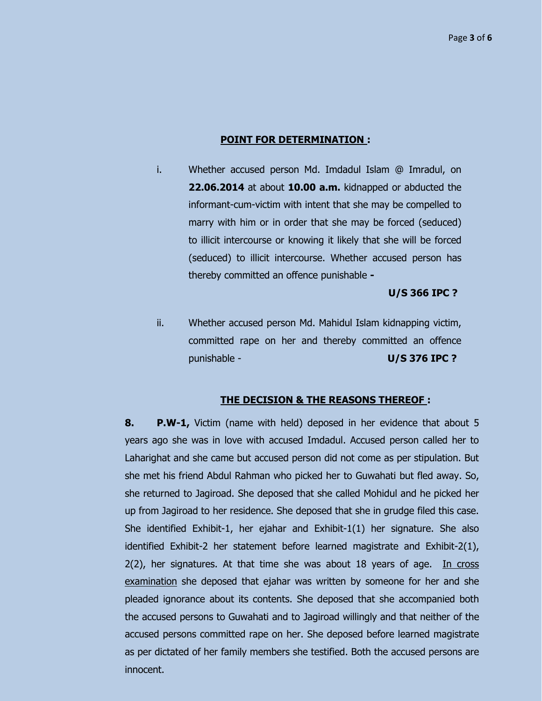#### **POINT FOR DETERMINATION :**

i. Whether accused person Md. Imdadul Islam @ Imradul, on **22.06.2014** at about **10.00 a.m.** kidnapped or abducted the informant-cum-victim with intent that she may be compelled to marry with him or in order that she may be forced (seduced) to illicit intercourse or knowing it likely that she will be forced (seduced) to illicit intercourse. Whether accused person has thereby committed an offence punishable **-**

# **U/S 366 IPC ?**

ii. Whether accused person Md. Mahidul Islam kidnapping victim, committed rape on her and thereby committed an offence punishable - **U/S 376 IPC ?**

### **THE DECISION & THE REASONS THEREOF :**

**8. P.W-1,** Victim (name with held) deposed in her evidence that about 5 years ago she was in love with accused Imdadul. Accused person called her to Laharighat and she came but accused person did not come as per stipulation. But she met his friend Abdul Rahman who picked her to Guwahati but fled away. So, she returned to Jagiroad. She deposed that she called Mohidul and he picked her up from Jagiroad to her residence. She deposed that she in grudge filed this case. She identified Exhibit-1, her ejahar and Exhibit-1(1) her signature. She also identified Exhibit-2 her statement before learned magistrate and Exhibit-2(1),  $2(2)$ , her signatures. At that time she was about 18 years of age. In cross examination she deposed that ejahar was written by someone for her and she pleaded ignorance about its contents. She deposed that she accompanied both the accused persons to Guwahati and to Jagiroad willingly and that neither of the accused persons committed rape on her. She deposed before learned magistrate as per dictated of her family members she testified. Both the accused persons are innocent.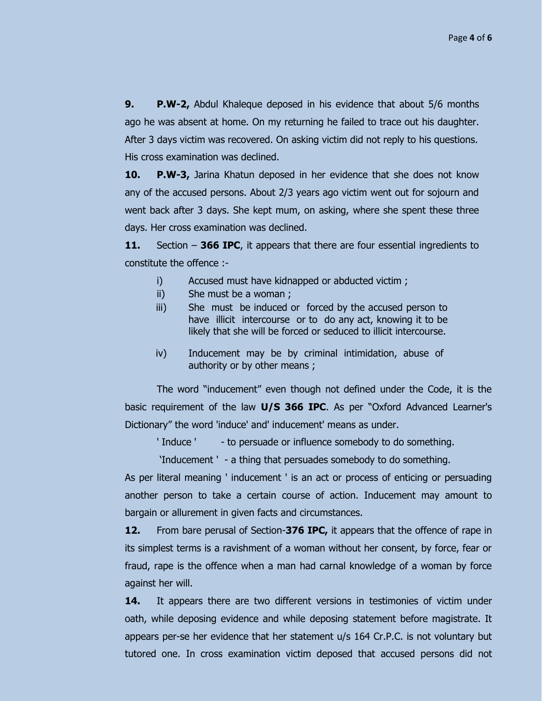**9. P.W-2,** Abdul Khaleque deposed in his evidence that about 5/6 months ago he was absent at home. On my returning he failed to trace out his daughter. After 3 days victim was recovered. On asking victim did not reply to his questions. His cross examination was declined.

**10. P.W-3,** Jarina Khatun deposed in her evidence that she does not know any of the accused persons. About 2/3 years ago victim went out for sojourn and went back after 3 days. She kept mum, on asking, where she spent these three days. Her cross examination was declined.

**11.** Section – **366 IPC**, it appears that there are four essential ingredients to constitute the offence :-

- i) Accused must have kidnapped or abducted victim;
- ii) She must be a woman ;
- iii) She must be induced or forced by the accused person to have illicit intercourse or to do any act, knowing it to be likely that she will be forced or seduced to illicit intercourse.
- iv) Inducement may be by criminal intimidation, abuse of authority or by other means ;

The word "inducement" even though not defined under the Code, it is the basic requirement of the law **U/S 366 IPC**. As per "Oxford Advanced Learner's Dictionary" the word 'induce' and' inducement' means as under.

' Induce ' - to persuade or influence somebody to do something.

"Inducement ' - a thing that persuades somebody to do something.

As per literal meaning ' inducement ' is an act or process of enticing or persuading another person to take a certain course of action. Inducement may amount to bargain or allurement in given facts and circumstances.

**12.** From bare perusal of Section-**376 IPC,** it appears that the offence of rape in its simplest terms is a ravishment of a woman without her consent, by force, fear or fraud, rape is the offence when a man had carnal knowledge of a woman by force against her will.

**14.** It appears there are two different versions in testimonies of victim under oath, while deposing evidence and while deposing statement before magistrate. It appears per-se her evidence that her statement u/s 164 Cr.P.C. is not voluntary but tutored one. In cross examination victim deposed that accused persons did not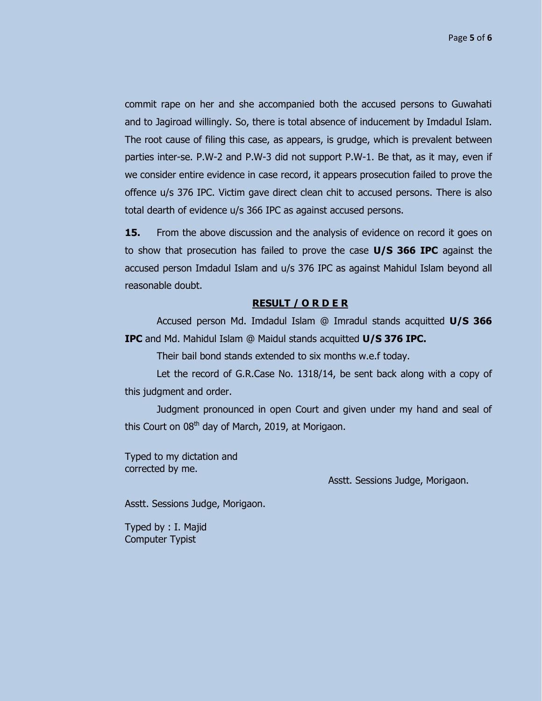commit rape on her and she accompanied both the accused persons to Guwahati and to Jagiroad willingly. So, there is total absence of inducement by Imdadul Islam. The root cause of filing this case, as appears, is grudge, which is prevalent between parties inter-se. P.W-2 and P.W-3 did not support P.W-1. Be that, as it may, even if we consider entire evidence in case record, it appears prosecution failed to prove the offence u/s 376 IPC. Victim gave direct clean chit to accused persons. There is also total dearth of evidence u/s 366 IPC as against accused persons.

**15.** From the above discussion and the analysis of evidence on record it goes on to show that prosecution has failed to prove the case **U/S 366 IPC** against the accused person Imdadul Islam and u/s 376 IPC as against Mahidul Islam beyond all reasonable doubt.

### **RESULT / O R D E R**

Accused person Md. Imdadul Islam @ Imradul stands acquitted **U/S 366 IPC** and Md. Mahidul Islam @ Maidul stands acquitted **U/S 376 IPC.**

Their bail bond stands extended to six months w.e.f today.

Let the record of G.R.Case No. 1318/14, be sent back along with a copy of this judgment and order.

Judgment pronounced in open Court and given under my hand and seal of this Court on 08<sup>th</sup> day of March, 2019, at Morigaon.

Typed to my dictation and corrected by me.

Asstt. Sessions Judge, Morigaon.

Asstt. Sessions Judge, Morigaon.

Typed by : I. Majid Computer Typist